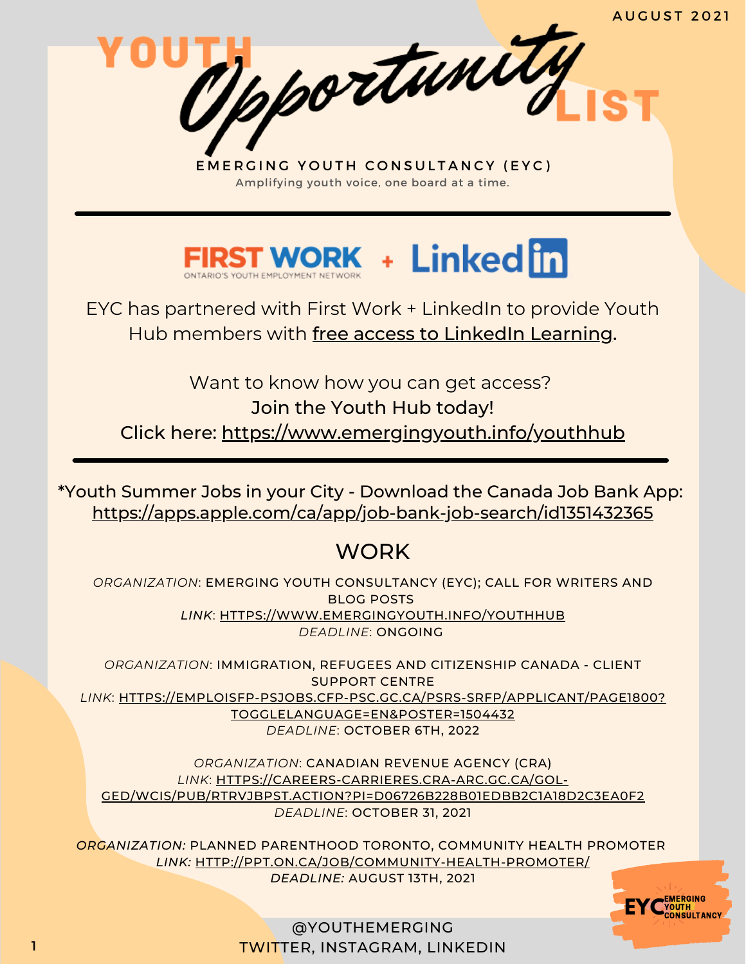A U G U S T 2 0 2 1

EMERGING YOUTH CONSULTANCY (EYC) Amplifying youth voice, one board at a time.

Opportunity



EYC has partnered with First Work + LinkedIn to provide Youth Hub members with free access to LinkedIn Learning.

Want to know how you can get access? Join the Youth Hub today! Click here: <https://www.emergingyouth.info/youthhub>

<https://apps.apple.com/ca/app/job-bank-job-search/id1351432365> \*Youth Summer Jobs in your City - Download the Canada Job Bank App:

# **WORK**

*ORGANIZATION*: EMERGING YOUTH CONSULTANCY (EYC); CALL FOR WRITERS AND BLOG POSTS *LINK*: [HTTPS://WWW.EMERGINGYOUTH.INFO/YOUTHHUB](https://www.emergingyouth.info/youthhub) *DEADLINE*: ONGOING

*ORGANIZATION*: IMMIGRATION, REFUGEES AND CITIZENSHIP CANADA - CLIENT SUPPORT CENTRE *LINK*: [HTTPS://EMPLOISFP-PSJOBS.CFP-PSC.GC.CA/PSRS-SRFP/APPLICANT/PAGE1800?](https://emploisfp-psjobs.cfp-psc.gc.ca/psrs-srfp/applicant/page1800?toggleLanguage=en&poster=1504432) TOGGLELANGUAGE=EN&POSTER=1504432 *DEADLINE*: OCTOBER 6TH, 2022

*ORGANIZATION*: CANADIAN REVENUE AGENCY (CRA) *LINK*: HTTPS://CAREERS-CARRIERES.CRA-ARC.GC.CA/GOL-[GED/WCIS/PUB/RTRVJBPST.ACTION?PI=D06726B228B01EDBB2C1A18D2C3EA0F2](https://careers-carrieres.cra-arc.gc.ca/gol-ged/wcis/pub/rtrvjbpst.action?pi=D06726B228B01EDBB2C1A18D2C3EA0F2) *DEADLINE*: OCTOBER 31, 2021

*ORGANIZATION:* PLANNED PARENTHOOD TORONTO, COMMUNITY HEALTH PROMOTER *[LINK:](https://jackorg.bamboohr.com/jobs/view.php?id=43&source=aWQ9Nw%3D%3D)* [HTTP://PPT.ON.CA/JOB/COMMUNITY-HEALTH-PROMOTER/](http://ppt.on.ca/job/community-health-promoter/) *DEADLINE:* AUGUST 13TH, 2021

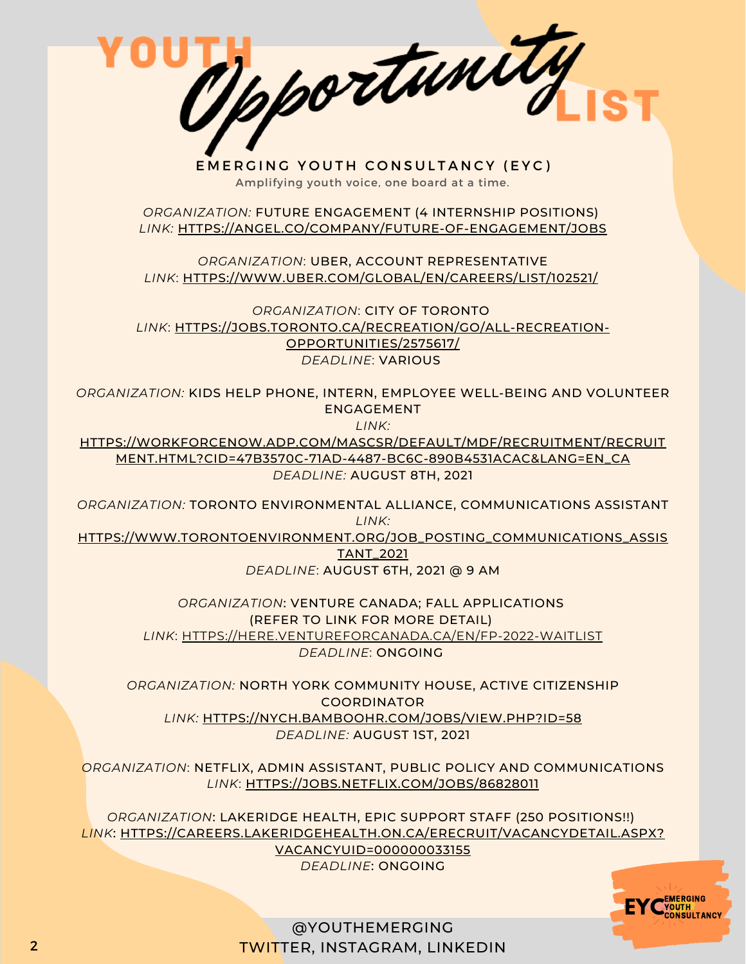Dpportunity EMERGING YOUTH CONSULTANCY (EYC) Amplifying youth voice, one board at a time. *ORGANIZATION:* FUTURE ENGAGEMENT (4 INTERNSHIP POSITIONS) *[LINK:](https://angel.co/company/future-of-engagement/jobs)* [HTTPS://ANGEL.CO/COMPANY/FUTURE-OF-ENGAGEMENT/JOBS](https://angel.co/company/future-of-engagement/jobs) *ORGANIZATION*: UBER, ACCOUNT REPRESENTATIVE *[LINK](https://www.bruyere.org/en/hr?job=11643)*[:](https://www.bruyere.org/en/hr?job=11643) [HTTPS://WWW.UBER.COM/GLOBAL/EN/CAREERS/LIST/102521/](https://www.uber.com/global/en/careers/list/102521/) *ORGANIZATION*: CITY OF TORONTO *[LINK](https://jobs.toronto.ca/recreation/go/All-Recreation-Opportunities/2575617/)*[:](https://jobs.toronto.ca/recreation/go/All-Recreation-Opportunities/2575617/) [HTTPS://JOBS.TORONTO.CA/RECREATION/GO/ALL-RECREATION-](https://jobs.toronto.ca/recreation/go/All-Recreation-Opportunities/2575617/)OPPORTUNITIES/2575617/ *DEADLINE*: VARIOUS *ORGANIZATION:* KIDS HELP PHONE, INTERN, EMPLOYEE WELL-BEING AND VOLUNTEER ENGAGEMENT *[LINK:](https://ottawa-worldskills.org/job/internship/)* [HTTPS://WORKFORCENOW.ADP.COM/MASCSR/DEFAULT/MDF/RECRUITMENT/RECRUIT](https://ottawa-worldskills.org/job/internship/) MENT.HTML?CID=47B3570C-71AD-4487-BC6C-890B4531ACAC&LANG=EN\_CA *DEADLINE:* AUGUST 8TH, 2021 *ORGANIZATION:* TORONTO ENVIRONMENTAL ALLIANCE, COMMUNICATIONS ASSISTANT *LINK:* [HTTPS://WWW.TORONTOENVIRONMENT.ORG/JOB\\_POSTING\\_COMMUNICATIONS\\_ASSIS](https://www.torontoenvironment.org/job_posting_communications_assistant_2021) TANT\_2021 *DEADLINE*: AUGUST 6TH, 2021 @ 9 AM *ORGANIZATION*: VENTURE CANADA; FALL APPLICATIONS (REFER TO LINK FOR MORE DETAIL) *[LINK](https://here.ventureforcanada.ca/en/fp-2022-waitlist)*[:](https://here.ventureforcanada.ca/en/fp-2022-waitlist) [HTTPS://HERE.VENTUREFORCANADA.CA/EN/FP-2022-WAITLIST](https://here.ventureforcanada.ca/en/fp-2022-waitlist) *DEADLINE*: ONGOING

*ORGANIZATION:* NORTH YORK COMMUNITY HOUSE, ACTIVE CITIZENSHIP COORDINATOR *[LINK:](https://www.linkedin.com/jobs/view/2646076665/)* [HTTPS://NYCH.BAMBOOHR.COM/JOBS/VIEW.PHP?ID=58](https://nych.bamboohr.com/jobs/view.php?id=58) *DEADLINE:* AUGUST 1ST, 2021

*ORGANIZATION*: NETFLIX, ADMIN ASSISTANT, PUBLIC POLICY AND COMMUNICATIONS *[LINK](https://here.ventureforcanada.ca/en/fp-2022-waitlist)*[:](https://here.ventureforcanada.ca/en/fp-2022-waitlist) [HTTPS://JOBS.NETFLIX.COM/JOBS/86828011](https://jobs.netflix.com/jobs/86828011)

*ORGANIZATION*: LAKERIDGE HEALTH, EPIC SUPPORT STAFF (250 POSITIONS!!) *LINK*: [HTTPS://CAREERS.LAKERIDGEHEALTH.ON.CA/ERECRUIT/VACANCYDETAIL.ASPX?](https://careers.lakeridgehealth.on.ca/eRecruit/VacancyDetail.aspx?VacancyUID=000000033155) VACANCYUID=000000033155 *DEADLINE*: ONGOING

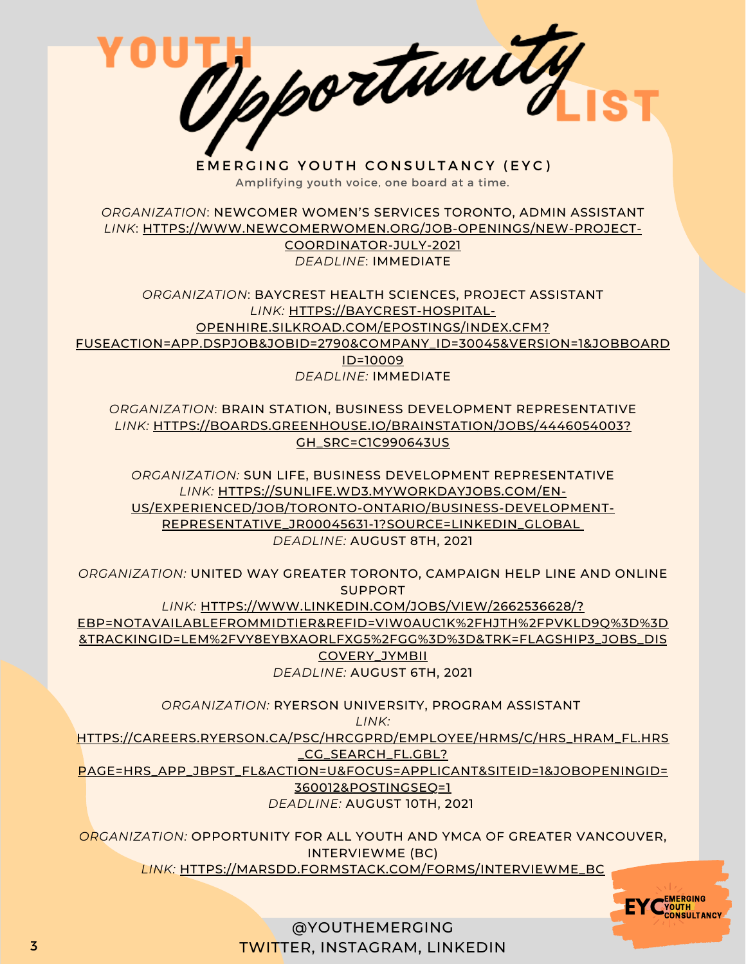Opportunity

EMERGING YOUTH CONSULTANCY (EYC) Amplifying youth voice, one board at a time.

*ORGANIZATION*: NEWCOMER WOMEN'S SERVICES TORONTO, ADMIN ASSISTANT *[LINK](https://ccgsd-ccdgs.org/careers/)*[:](https://ccgsd-ccdgs.org/careers/) [HTTPS://WWW.NEWCOMERWOMEN.ORG/JOB-OPENINGS/NEW-PROJECT-](https://www.newcomerwomen.org/job-openings/new-project-coordinator-july-2021)COORDINATOR-JULY-2021 *DEADLINE*: IMMEDIATE

*ORGANIZATION*: BAYCREST HEALTH SCIENCES, PROJECT ASSISTANT *[LINK:](https://ccgsd-ccdgs.org/careers/)* HTTPS://BAYCREST-HOSPITAL-OPENHIRE.SILKROAD.COM/EPOSTINGS/INDEX.CFM? [FUSEACTION=APP.DSPJOB&JOBID=2790&COMPANY\\_ID=30045&VERSION=1&JOBBOARD](https://baycrest-hospital-openhire.silkroad.com/epostings/index.cfm?fuseaction=app.dspjob&jobid=2790&company_id=30045&version=1&jobBoardId=10009) ID=10009 *DEADLINE:* IMMEDIATE

*ORGANIZATION*: BRAIN STATION, BUSINESS DEVELOPMENT REPRESENTATIVE *[LINK:](https://ccgsd-ccdgs.org/careers/)* [HTTPS://BOARDS.GREENHOUSE.IO/BRAINSTATION/JOBS/4446054003?](https://boards.greenhouse.io/brainstation/jobs/4446054003?gh_src=c1c990643us) GH\_SRC=C1C990643US

*ORGANIZATION:* SUN LIFE, BUSINESS DEVELOPMENT REPRESENTATIVE *[LINK:](https://ccgsd-ccdgs.org/careers/)* HTTPS://SUNLIFE.WD3.MYWORKDAYJOBS.COM/EN-[US/EXPERIENCED/JOB/TORONTO-ONTARIO/BUSINESS-DEVELOPMENT-](https://sunlife.wd3.myworkdayjobs.com/en-US/Experienced/job/Toronto-Ontario/Business-Development-Representative_JR00045631-1?source=LINKEDIN_GLOBAL)REPRESENTATIVE\_JR00045631-1?SOURCE=LINKEDIN\_GLOBA[L](https://sunlife.wd3.myworkdayjobs.com/en-US/Experienced/job/Toronto-Ontario/Business-Development-Representative_JR00045631-1?source=LINKEDIN_GLOBAL) *DEADLINE:* AUGUST 8TH, 2021

*ORGANIZATION:* UNITED WAY GREATER TORONTO, CAMPAIGN HELP LINE AND ONLINE SUPPORT *[LINK:](https://ccgsd-ccdgs.org/careers/)* HTTPS://WWW.LINKEDIN.COM/JOBS/VIEW/2662536628/? [EBP=NOTAVAILABLEFROMMIDTIER&REFID=VIW0AUC1K%2FHJTH%2FPVKLD9Q%3D%3D](https://www.linkedin.com/jobs/view/2662536628/?eBP=NotAvailableFromMidTier&refId=ViW0Auc1k%2FHJTh%2FPvKLD9Q%3D%3D&trackingId=LeM%2FvY8eYBXAOrLFxG5%2Fgg%3D%3D&trk=flagship3_jobs_discovery_jymbii) &TRACKINGID=LEM%2FVY8EYBXAORLFXG5%2FGG%3D%3D&TRK=FLAGSHIP3\_JOBS\_DIS COVERY\_JYMBII *DEADLINE:* AUGUST 6TH, 2021

*ORGANIZATION:* RYERSON UNIVERSITY, PROGRAM ASSISTANT

*[LINK:](https://ccgsd-ccdgs.org/careers/)*

[HTTPS://CAREERS.RYERSON.CA/PSC/HRCGPRD/EMPLOYEE/HRMS/C/HRS\\_HRAM\\_FL.HRS](https://careers.ryerson.ca/psc/hrcgprd/EMPLOYEE/HRMS/c/HRS_HRAM_FL.HRS_CG_SEARCH_FL.GBL?Page=HRS_APP_JBPST_FL&Action=U&FOCUS=Applicant&SiteId=1&JobOpeningId=360012&PostingSeq=1)

\_CG\_SEARCH\_FL.GBL?

PAGE=HRS\_APP\_JBPST\_FL&ACTION=U&FOCUS=APPLICANT&SITEID=1&JOBOPENINGID= 360012&POSTINGSEQ=1 *DEADLINE:* AUGUST 10TH, 2021

*ORGANIZATION:* OPPORTUNITY FOR ALL YOUTH AND YMCA OF GREATER VANCOUVER, INTERVIEWME (BC) *[LINK:](https://ccgsd-ccdgs.org/careers/)* [HTTPS://MARSDD.FORMSTACK.COM/FORMS/INTERVIEWME\\_BC](https://marsdd.formstack.com/forms/interviewme_bc)

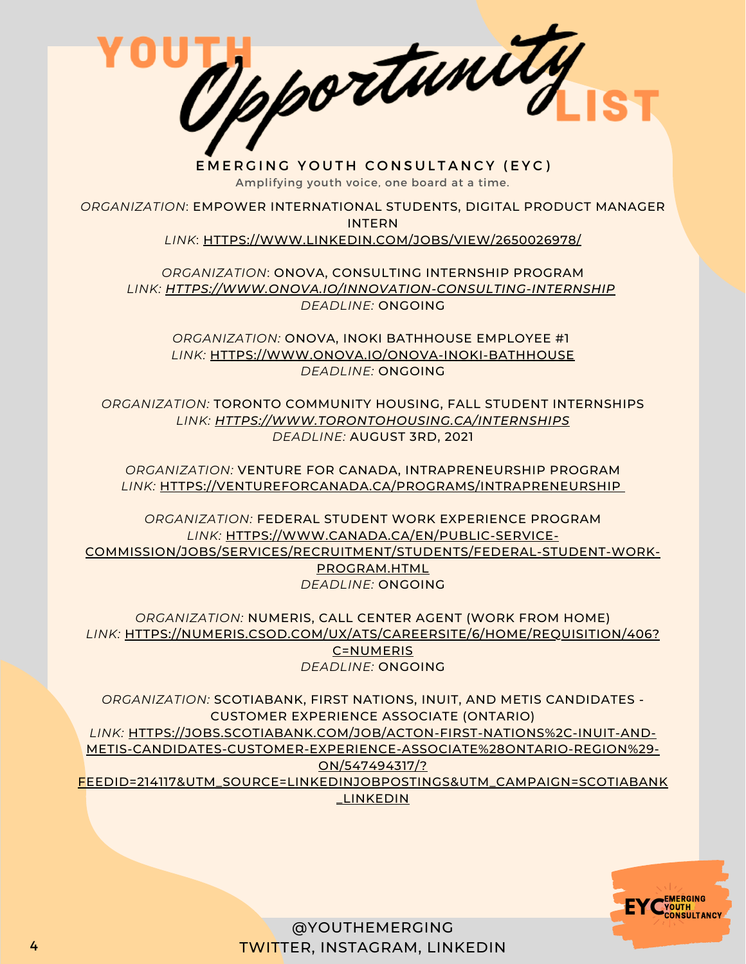Opportunity

EMERGING YOUTH CONSULTANCY (EYC) Amplifying youth voice, one board at a time.

*ORGANIZATION*: EMPOWER INTERNATIONAL STUDENTS, DIGITAL PRODUCT MANAGER INTERN *LINK*: [HTTPS://WWW.LINKEDIN.COM/JOBS/VIEW/2650026978/](https://www.linkedin.com/jobs/view/2650026978/)

*ORGANIZATION*: ONOVA, CONSULTING INTERNSHIP PROGRAM *LINK: [HTTPS://WWW.ONOVA.IO/INNOVATION-CONSULTING-INTERNSHIP](https://www.onova.io/innovation-consulting-internship) DEADLINE:* ONGOING

*ORGANIZATION:* ONOVA, INOKI BATHHOUSE EMPLOYEE #1 *LINK:* [HTTPS://WWW.ONOVA.IO/ONOVA-INOKI-BATHHOUSE](https://www.onova.io/onova-inoki-bathhouse) *DEADLINE:* ONGOING

*ORGANIZATION:* TORONTO COMMUNITY HOUSING, FALL STUDENT INTERNSHIPS *LINK: [HTTPS://WWW.TORONTOHOUSING.CA/INTERNSHIPS](https://www.torontohousing.ca/internships) DEADLINE:* AUGUST 3RD, 2021

*ORGANIZATION:* VENTURE FOR CANADA, INTRAPRENEURSHIP PROGRAM *LINK:* [HTTPS://VENTUREFORCANADA.CA/PROGRAMS/INTRAPRENEURSHIP](https://ventureforcanada.ca/programs/intrapreneurship)

*ORGANIZATION:* FEDERAL STUDENT WORK EXPERIENCE PROGRAM *LINK:* HTTPS://WWW.CANADA.CA/EN/PUBLIC-SERVICE-[COMMISSION/JOBS/SERVICES/RECRUITMENT/STUDENTS/FEDERAL-STUDENT-WORK-](https://www.canada.ca/en/public-service-commission/jobs/services/recruitment/students/federal-student-work-program.html)PROGRAM.HTML *DEADLINE:* ONGOING

*ORGANIZATION:* NUMERIS, CALL CENTER AGENT (WORK FROM HOME) *LINK:* [HTTPS://NUMERIS.CSOD.COM/UX/ATS/CAREERSITE/6/HOME/REQUISITION/406?](https://numeris.csod.com/ux/ats/careersite/6/home/requisition/406?c=numeris) C=NUMERIS *DEADLINE:* ONGOING

*ORGANIZATION:* SCOTIABANK, FIRST NATIONS, INUIT, AND METIS CANDIDATES - CUSTOMER EXPERIENCE ASSOCIATE (ONTARIO) *LINK:* HTTPS://JOBS.SCOTIABANK.COM/JOB/ACTON-FIRST-NATIONS%2C-INUIT-AND-METIS-CANDIDATES-CUSTOMER-EXPERIENCE-ASSOCIATE%28ONTARIO-REGION%29- ON/547494317/? [FEEDID=214117&UTM\\_SOURCE=LINKEDINJOBPOSTINGS&UTM\\_CAMPAIGN=SCOTIABANK](https://jobs.scotiabank.com/job/Acton-First-Nations%2C-Inuit-and-Metis-Candidates-Customer-Experience-Associate%28Ontario-Region%29-ON/547494317/?feedId=214117&utm_source=LinkedInJobPostings&utm_campaign=ScotiaBank_Linkedin) \_LINKEDIN

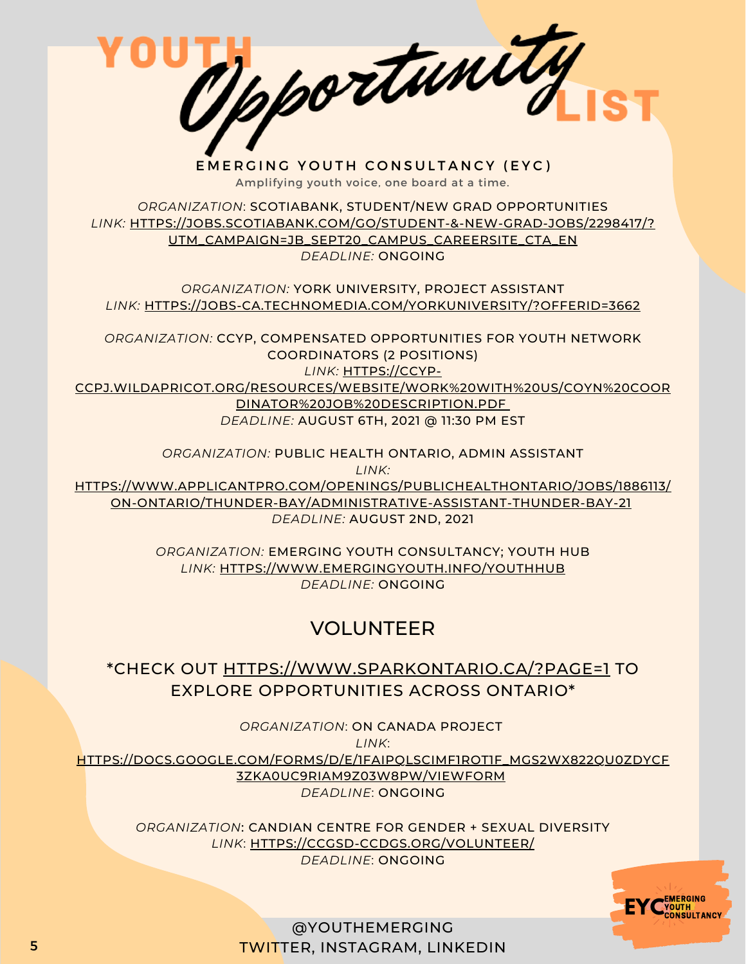Opportunity EMERGING YOUTH CONSULTANCY (EYC) Amplifying youth voice, one board at a time. *ORGANIZATION*: SCOTIABANK, STUDENT/NEW GRAD OPPORTUNITIES *LINK:* [HTTPS://JOBS.SCOTIABANK.COM/GO/STUDENT-&-NEW-GRAD-JOBS/2298417/?](https://jobs.scotiabank.com/go/Student-&-New-Grad-Jobs/2298417/?utm_campaign=JB_Sept20_Campus_CareerSite_CTA_EN) UTM\_CAMPAIGN=JB\_SEPT20\_CAMPUS\_CAREERSITE\_CTA\_EN *DEADLINE:* ONGOING *ORGANIZATION:* YORK UNIVERSITY, PROJECT ASSISTANT *LINK:* [HTTPS://JOBS-CA.TECHNOMEDIA.COM/YORKUNIVERSITY/?OFFERID=3662](https://jobs-ca.technomedia.com/yorkuniversity/?offerid=3662) *ORGANIZATION:* CCYP, COMPENSATED OPPORTUNITIES FOR YOUTH NETWORK COORDINATORS (2 POSITIONS) *LINK:* HTTPS://CCYP-[CCPJ.WILDAPRICOT.ORG/RESOURCES/WEBSITE/WORK%20WITH%20US/COYN%20COOR](https://ccyp-ccpj.wildapricot.org/resources/Website/Work%20With%20Us/COYN%20Coordinator%20Job%20Description.pdf) DINATOR%20JOB%20DESCRIPTION.PD[F](https://ccyp-ccpj.wildapricot.org/resources/Website/Work%20With%20Us/COYN%20Coordinator%20Job%20Description.pdf) *DEADLINE:* AUGUST 6TH, 2021 @ 11:30 PM EST

> *ORGANIZATION:* PUBLIC HEALTH ONTARIO, ADMIN ASSISTANT *LINK:*

[HTTPS://WWW.APPLICANTPRO.COM/OPENINGS/PUBLICHEALTHONTARIO/JOBS/1886113/](https://www.applicantpro.com/openings/publichealthontario/jobs/1886113/ON-Ontario/Thunder-Bay/Administrative-Assistant-Thunder-Bay-21) ON-ONTARIO/THUNDER-BAY/ADMINISTRATIVE-ASSISTANT-THUNDER-BAY-21 *DEADLINE:* AUGUST 2ND, 2021

> *ORGANIZATION:* EMERGING YOUTH CONSULTANCY; YOUTH HUB *LINK:* [HTTPS://WWW.EMERGINGYOUTH.INFO/YOUTHHUB](https://www.emergingyouth.info/youthhub) *DEADLINE:* ONGOING

## VOLUNTEER

\*CHECK OUT [HTTPS://WWW.SPARKONTARIO.CA/?PAGE=1](https://www.sparkontario.ca/?page=1) TO EXPLORE OPPORTUNITIES ACROSS ONTARIO\*

*ORGANIZATION*: ON CANADA PROJECT *LINK*: [HTTPS://DOCS.GOOGLE.COM/FORMS/D/E/1FAIPQLSCIMF1ROT1F\\_MGS2WX822QU0ZDYCF](https://docs.google.com/forms/d/e/1FAIpQLSciMF1ROT1f_mGS2Wx822QU0zDYcf3zka0UC9rIAM9z03W8Pw/viewform) 3ZKA0UC9RIAM9Z03W8PW/VIEWFORM *DEADLINE*: ONGOING

*ORGANIZATION*: CANDIAN CENTRE FOR GENDER + SEXUAL DIVERSITY *LINK*: [HTTPS://CCGSD-CCDGS.ORG/VOLUNTEER/](https://ccgsd-ccdgs.org/volunteer/) *DEADLINE*: ONGOING

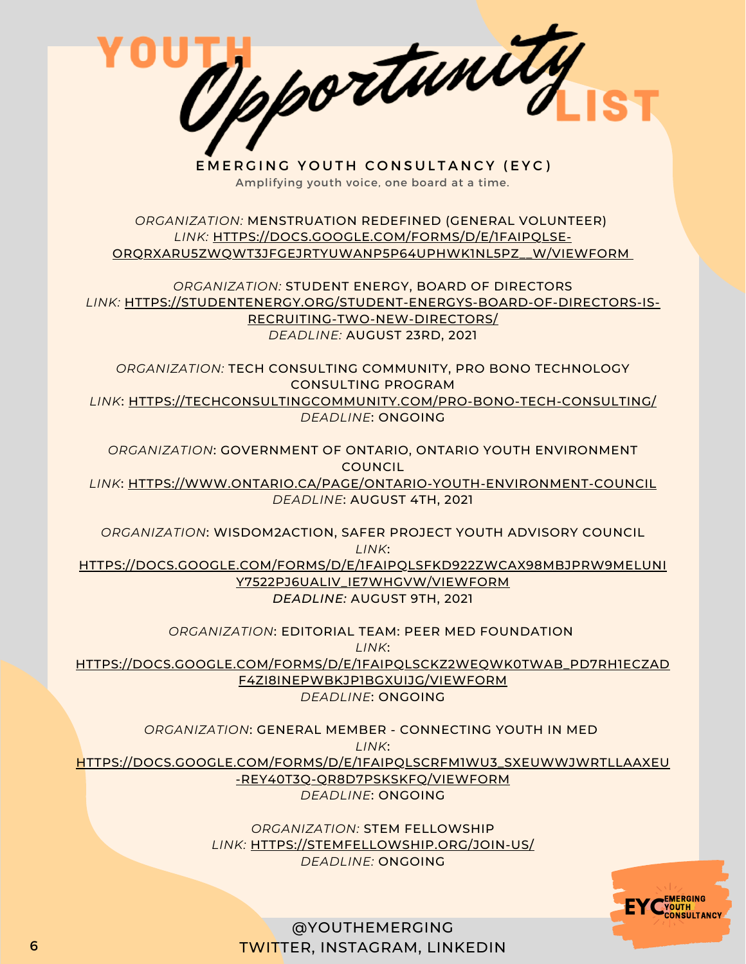

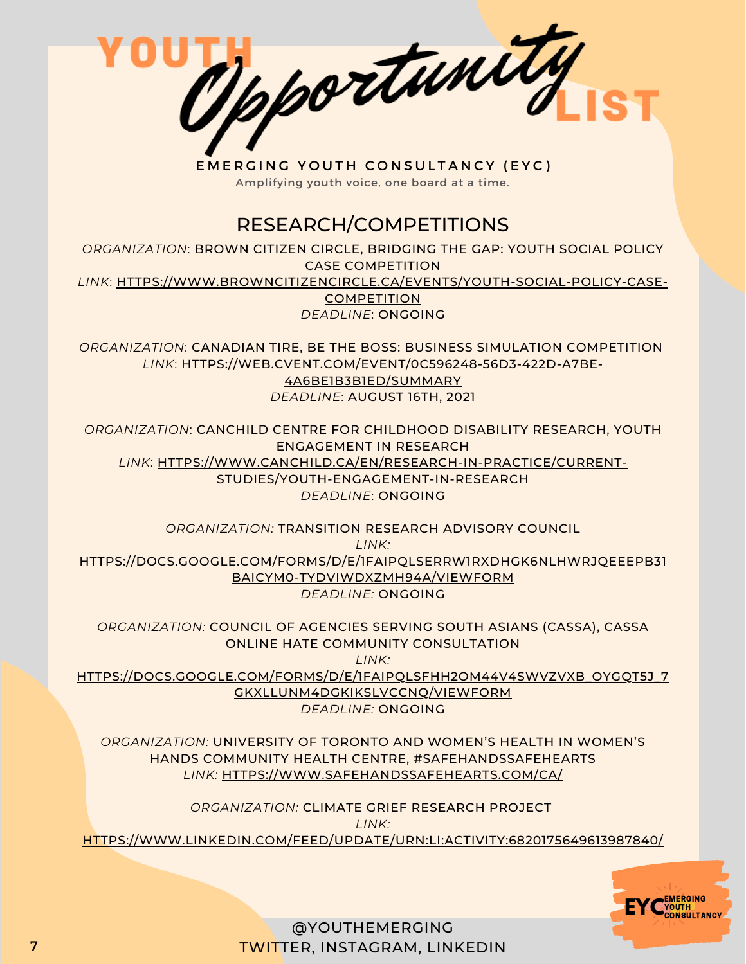

Amplifying youth voice, one board at a time.

#### RESEARCH/COMPETITIONS

*ORGANIZATION*: BROWN CITIZEN CIRCLE, BRIDGING THE GAP: YOUTH SOCIAL POLICY CASE COMPETITION

*LINK*: [HTTPS://WWW.BROWNCITIZENCIRCLE.CA/EVENTS/YOUTH-SOCIAL-POLICY-CASE-](https://www.browncitizencircle.ca/events/youth-social-policy-case-competition)

**COMPETITION** *DEADLINE*: ONGOING

*ORGANIZATION*: CANADIAN TIRE, BE THE BOSS: BUSINESS SIMULATION COMPETITION *LINK*: [HTTPS://WEB.CVENT.COM/EVENT/0C596248-56D3-422D-A7BE-](https://web.cvent.com/event/0c596248-56d3-422d-a7be-4a6be1b3b1ed/summary)

4A6BE1B3B1ED/SUMMARY *DEADLINE*: AUGUST 16TH, 2021

*ORGANIZATION*: CANCHILD CENTRE FOR CHILDHOOD DISABILITY RESEARCH, YOUTH ENGAGEMENT IN RESEARCH *LINK*: [HTTPS://WWW.CANCHILD.CA/EN/RESEARCH-IN-PRACTICE/CURRENT-](https://www.canchild.ca/en/research-in-practice/current-studies/youth-engagement-in-research)STUDIES/YOUTH-ENGAGEMENT-IN-RESEARCH *DEADLINE*: ONGOING

*ORGANIZATION:* TRANSITION RESEARCH ADVISORY COUNCIL

*LINK:* [HTTPS://DOCS.GOOGLE.COM/FORMS/D/E/1FAIPQLSERRW1RXDHGK6NLHWRJQEEEPB31](https://docs.google.com/forms/d/e/1FAIpQLSeRrW1RxDhGK6NlhwrjqeEEpB31BAICym0-TydVIWdxZMH94A/viewform) BAICYM0-TYDVIWDXZMH94A/VIEWFORM *DEADLINE:* ONGOING

*ORGANIZATION:* COUNCIL OF AGENCIES SERVING SOUTH ASIANS (CASSA), CASSA ONLINE HATE COMMUNITY CONSULTATION *LINK:*

[HTTPS://DOCS.GOOGLE.COM/FORMS/D/E/1FAIPQLSFHH2OM44V4SWVZVXB\\_OYGQT5J\\_7](https://docs.google.com/forms/d/e/1FAIpQLSfHH2oM44V4sWVZVXb_OYGQT5j_7GKxlLUnM4dGKiKSLVCCNQ/viewform) GKXLLUNM4DGKIKSLVCCNQ/VIEWFORM *DEADLINE:* ONGOING

*ORGANIZATION:* UNIVERSITY OF TORONTO AND WOMEN'S HEALTH IN WOMEN'S HANDS COMMUNITY HEALTH CENTRE, #SAFEHANDSSAFEHEARTS *LINK:* [HTTPS://WWW.SAFEHANDSSAFEHEARTS.COM/CA/](https://www.safehandssafehearts.com/ca/)

*ORGANIZATION:* CLIMATE GRIEF RESEARCH PROJECT

*LINK:*

[HTTPS://WWW.LINKEDIN.COM/FEED/UPDATE/URN:LI:ACTIVITY:6820175649613987840/](https://www.linkedin.com/feed/update/urn:li:activity:6820175649613987840/)

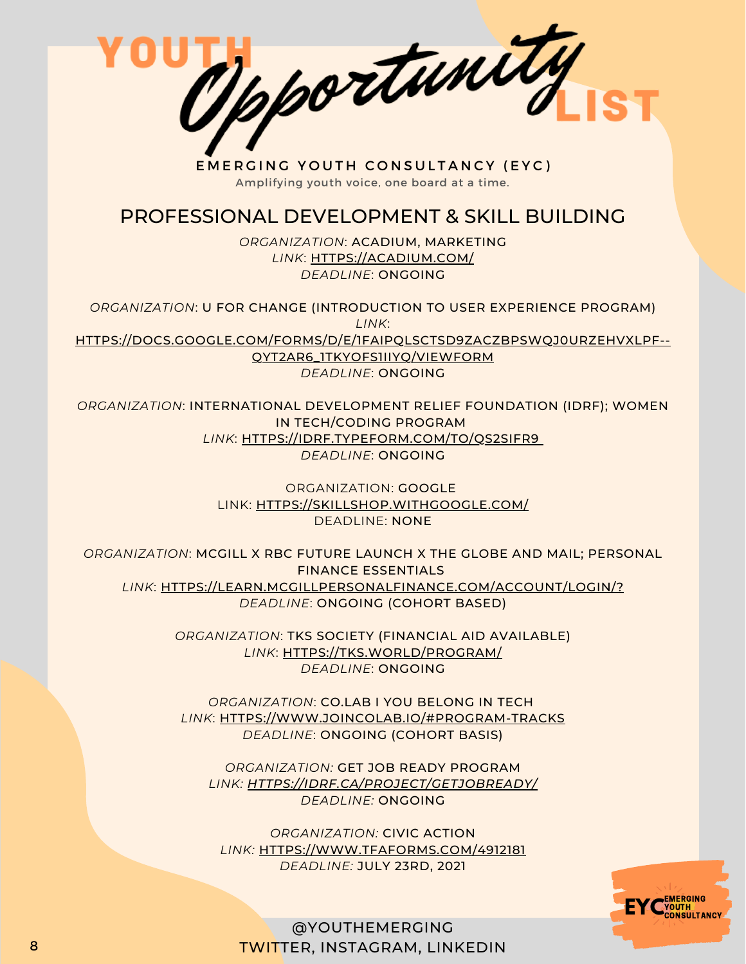Mportunity

EMERGING YOUTH CONSULTANCY (EYC) Amplifying youth voice, one board at a time.

#### PROFESSIONAL DEVELOPMENT & SKILL BUILDING

*ORGANIZATION*: ACADIUM, MARKETING *LINK*: [HTTPS://ACADIUM.COM/](https://acadium.com/) *DEADLINE*: ONGOING

*ORGANIZATION*: U FOR CHANGE (INTRODUCTION TO USER EXPERIENCE PROGRAM) *LINK*: [HTTPS://DOCS.GOOGLE.COM/FORMS/D/E/1FAIPQLSCTSD9ZACZBPSWQJ0URZEHVXLPF--](https://docs.google.com/forms/d/e/1FAIpQLSctSd9ZAcZBpswQj0URzEHVXlpF--qyT2AR6_1tKyoFS1iIYQ/viewform) QYT2AR6\_1TKYOFS1IIYQ/VIEWFORM *DEADLINE*: ONGOING

*ORGANIZATION*: INTERNATIONAL DEVELOPMENT RELIEF FOUNDATION (IDRF); WOMEN IN TECH/CODING PROGRAM *LINK*: [HTTPS://IDRF.TYPEFORM.COM/TO/QS2SIFR9](https://idrf.typeform.com/to/qs2SIFR9) *DEADLINE*: ONGOING

> ORGANIZATION: GOOGLE LINK: [HTTPS://SKILLSHOP.WITHGOOGLE.COM/](https://skillshop.withgoogle.com/) DEADLINE: NONE

*ORGANIZATION*: MCGILL X RBC FUTURE LAUNCH X THE GLOBE AND MAIL; PERSONAL FINANCE ESSENTIALS *LINK*: [HTTPS://LEARN.MCGILLPERSONALFINANCE.COM/ACCOUNT/LOGIN/?](https://learn.mcgillpersonalfinance.com/account/login/) *DEADLINE*: ONGOING (COHORT BASED)

> *ORGANIZATION*: TKS SOCIETY (FINANCIAL AID AVAILABLE) *LINK*: [HTTPS://TKS.WORLD/PROGRAM/](https://tks.world/program/) *DEADLINE*: ONGOING

*ORGANIZATION*: CO.LAB I YOU BELONG IN TECH *LINK*: [HTTPS://WWW.JOINCOLAB.IO/#PROGRAM-TRACKS](https://www.joincolab.io/#Program-Tracks) *DEADLINE*: ONGOING (COHORT BASIS)

*ORGANIZATION:* GET JOB READY PROGRAM *LINK: [HTTPS://IDRF.CA/PROJECT/GETJOBREADY/](https://idrf.ca/project/getjobready/) DEADLINE:* ONGOING

*ORGANIZATION:* CIVIC ACTION *LINK:* [HTTPS://WWW.TFAFORMS.COM/4912181](https://www.tfaforms.com/4912181) *DEADLINE:* JULY 23RD, 2021

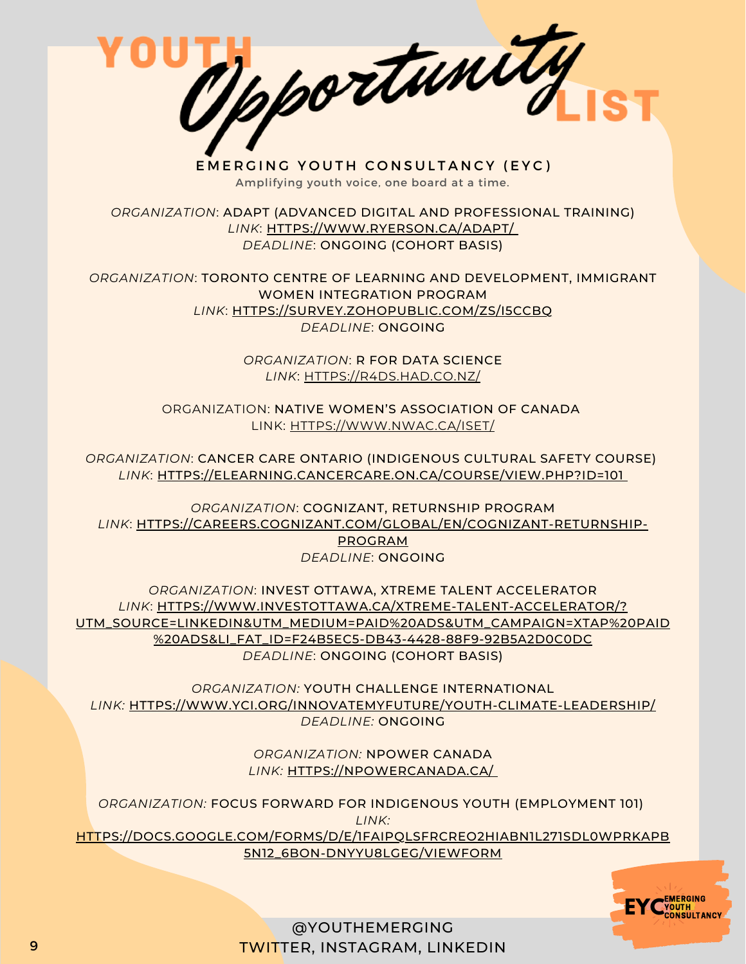Tpportunity

EMERGING YOUTH CONSULTANCY (EYC) Amplifying youth voice, one board at a time.

*ORGANIZATION*: ADAPT (ADVANCED DIGITAL AND PROFESSIONAL TRAINING) *LINK*: [HTTPS://WWW.RYERSON.CA/ADAPT/](https://www.ryerson.ca/adapt/) *DEADLINE*: ONGOING (COHORT BASIS)

*ORGANIZATION*: TORONTO CENTRE OF LEARNING AND DEVELOPMENT, IMMIGRANT WOMEN INTEGRATION PROGRAM *LINK*: [HTTPS://SURVEY.ZOHOPUBLIC.COM/ZS/I5CCBQ](https://survey.zohopublic.com/zs/I5CCbQ) *DEADLINE*: ONGOING

> *ORGANIZATION*: R FOR DATA SCIENCE *LINK*: [HTTPS://R4DS.HAD.CO.NZ/](https://r4ds.had.co.nz/)

ORGANIZATION: NATIVE WOMEN'S ASSOCIATION OF CANADA LINK: [HTTPS://WWW.NWAC.CA/ISET/](https://www.nwac.ca/iset/)

*ORGANIZATION*: CANCER CARE ONTARIO (INDIGENOUS CULTURAL SAFETY COURSE) *LINK*: [HTTPS://ELEARNING.CANCERCARE.ON.CA/COURSE/VIEW.PHP?ID=101](https://elearning.cancercare.on.ca/course/view.php?id=101)

*ORGANIZATION*: COGNIZANT, RETURNSHIP PROGRAM *LINK*: [HTTPS://CAREERS.COGNIZANT.COM/GLOBAL/EN/COGNIZANT-RETURNSHIP-](https://careers.cognizant.com/global/en/cognizant-returnship-program)PROGRAM *DEADLINE*: ONGOING

*ORGANIZATION*: INVEST OTTAWA, XTREME TALENT ACCELERATOR *LINK*: HTTPS://WWW.INVESTOTTAWA.CA/XTREME-TALENT-ACCELERATOR/? [UTM\\_SOURCE=LINKEDIN&UTM\\_MEDIUM=PAID%20ADS&UTM\\_CAMPAIGN=XTAP%20PAID](https://www.investottawa.ca/xtreme-talent-accelerator/?utm_source=LinkedIn&utm_medium=Paid%20Ads&utm_campaign=XTAP%20Paid%20Ads&li_fat_id=f24b5ec5-db43-4428-88f9-92b5a2d0c0dc) %20ADS&LI\_FAT\_ID=F24B5EC5-DB43-4428-88F9-92B5A2D0C0DC

*DEADLINE*: ONGOING (COHORT BASIS)

*ORGANIZATION:* YOUTH CHALLENGE INTERNATIONAL *LINK:* [HTTPS://WWW.YCI.ORG/INNOVATEMYFUTURE/YOUTH-CLIMATE-LEADERSHIP/](https://www.yci.org/innovatemyfuture/youth-climate-leadership/) *DEADLINE:* ONGOING

> *ORGANIZATION:* NPOWER CANADA *LINK:* [HTTPS://NPOWERCANADA.CA/](https://npowercanada.ca/)

*ORGANIZATION:* FOCUS FORWARD FOR INDIGENOUS YOUTH (EMPLOYMENT 101) *LINK:* [HTTPS://DOCS.GOOGLE.COM/FORMS/D/E/1FAIPQLSFRCREO2HIABN1L271SDL0WPRKAPB](https://docs.google.com/forms/d/e/1FAIpQLSfRCREo2hIabn1L271SDl0wPRkApB5N12_6bON-DnyYu8lGEg/viewform) 5N12\_6BON-DNYYU8LGEG/VIEWFORM

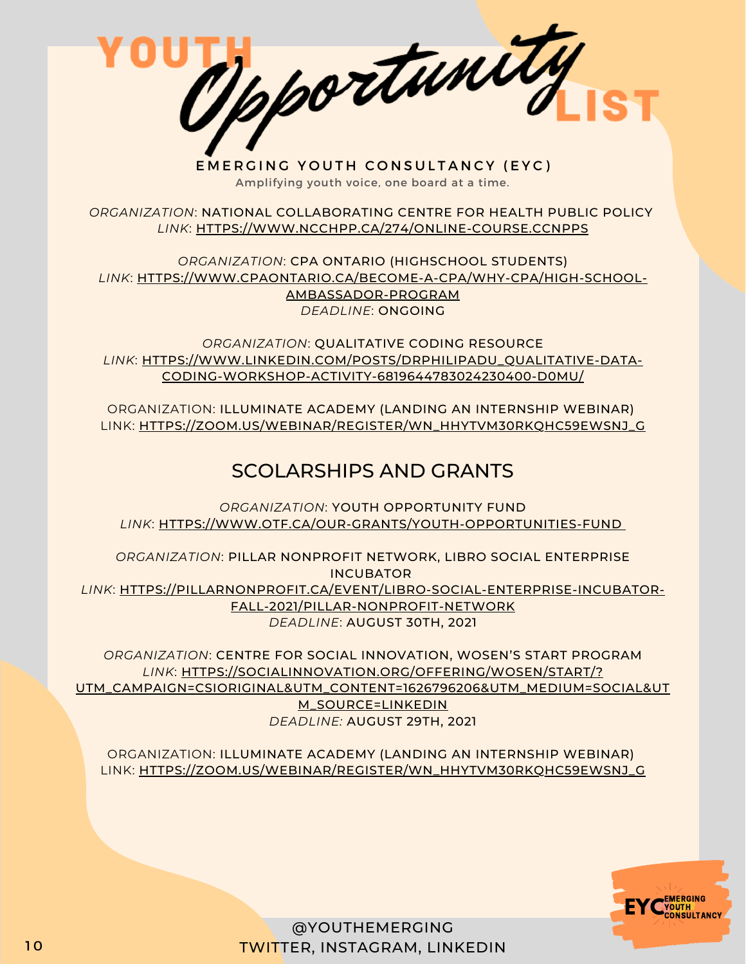Opportunity

EMERGING YOUTH CONSULTANCY (EYC) Amplifying youth voice, one board at a time.

*ORGANIZATION*: NATIONAL COLLABORATING CENTRE FOR HEALTH PUBLIC POLICY *LINK*: [HTTPS://WWW.NCCHPP.CA/274/ONLINE-COURSE.CCNPPS](https://www.ncchpp.ca/274/online-course.ccnpps)

*ORGANIZATION*: CPA ONTARIO (HIGHSCHOOL STUDENTS) *LINK*: [HTTPS://WWW.CPAONTARIO.CA/BECOME-A-CPA/WHY-CPA/HIGH-SCHOOL-](https://www.cpaontario.ca/become-a-cpa/why-cpa/high-school-ambassador-program)AMBASSADOR-PROGRAM *DEADLINE*: ONGOING

*ORGANIZATION*: QUALITATIVE CODING RESOURCE *LINK*: [HTTPS://WWW.LINKEDIN.COM/POSTS/DRPHILIPADU\\_QUALITATIVE-DATA-](https://www.linkedin.com/posts/drphilipadu_qualitative-data-coding-workshop-activity-6819644783024230400-d0mU/)CODING-WORKSHOP-ACTIVITY-6819644783024230400-D0MU/

ORGANIZATION: ILLUMINATE ACADEMY (LANDING AN INTERNSHIP WEBINAR) LINK: [HTTPS://ZOOM.US/WEBINAR/REGISTER/WN\\_HHYTVM30RKQHC59EWSNJ\\_G](https://zoom.us/webinar/register/WN_hHYtvM30RKqhc59EWSnj_g)

### SCOLARSHIPS AND GRANTS

*ORGANIZATION*: YOUTH OPPORTUNITY FUND *LINK*: [HTTPS://WWW.OTF.CA/OUR-GRANTS/YOUTH-OPPORTUNITIES-FUND](https://www.otf.ca/our-grants/youth-opportunities-fund)

*ORGANIZATION*: PILLAR NONPROFIT NETWORK, LIBRO SOCIAL ENTERPRISE INCUBATOR *LINK*: [HTTPS://PILLARNONPROFIT.CA/EVENT/LIBRO-SOCIAL-ENTERPRISE-INCUBATOR-](https://pillarnonprofit.ca/event/libro-social-enterprise-incubator-fall-2021/pillar-nonprofit-network)FALL-2021/PILLAR-NONPROFIT-NETWORK *DEADLINE*: AUGUST 30TH, 2021

*ORGANIZATION*: CENTRE FOR SOCIAL INNOVATION, WOSEN'S START PROGRAM *LINK*: HTTPS://SOCIALINNOVATION.ORG/OFFERING/WOSEN/START/? [UTM\\_CAMPAIGN=CSIORIGINAL&UTM\\_CONTENT=1626796206&UTM\\_MEDIUM=SOCIAL&UT](https://socialinnovation.org/offering/wosen/start/?utm_campaign=CSIOriginal&utm_content=1626796206&utm_medium=social&utm_source=linkedin) M\_SOURCE=LINKEDIN *DEADLINE:* AUGUST 29TH, 2021

ORGANIZATION: ILLUMINATE ACADEMY (LANDING AN INTERNSHIP WEBINAR) LINK: [HTTPS://ZOOM.US/WEBINAR/REGISTER/WN\\_HHYTVM30RKQHC59EWSNJ\\_G](https://zoom.us/webinar/register/WN_hHYtvM30RKqhc59EWSnj_g)

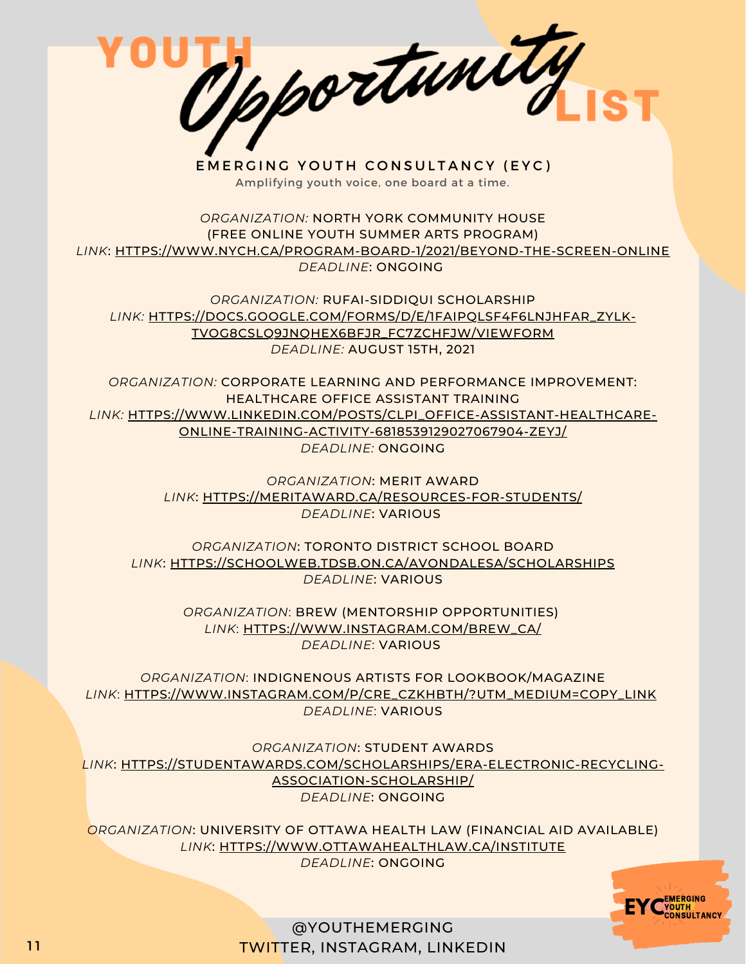Opportunity

EMERGING YOUTH CONSULTANCY (EYC) Amplifying youth voice, one board at a time.

*ORGANIZATION:* NORTH YORK COMMUNITY HOUSE (FREE ONLINE YOUTH SUMMER ARTS PROGRAM) *LINK*: [HTTPS://WWW.NYCH.CA/PROGRAM-BOARD-1/2021/BEYOND-THE-SCREEN-ONLINE](https://www.nych.ca/program-board-1/2021/beyond-the-screen-online) *DEADLINE*: ONGOING

*ORGANIZATION:* RUFAI-SIDDIQUI SCHOLARSHIP *[LINK:](https://bbpa.org/bbpa-scholarships/)* [HTTPS://DOCS.GOOGLE.COM/FORMS/D/E/1FAIPQLSF4F6LNJHFAR\\_ZYLK-](https://docs.google.com/forms/d/e/1FAIpQLSf4F6LNJhFaR_ZyLk-Tvog8cslQ9jNQHeX6BfJR_FC7ZChfjw/viewform)TVOG8CSLQ9JNQHEX6BFJR\_FC7ZCHFJW/VIEWFORM *DEADLINE:* AUGUST 15TH, 2021

*ORGANIZATION:* CORPORATE LEARNING AND PERFORMANCE IMPROVEMENT: HEALTHCARE OFFICE ASSISTANT TRAINING *[LINK:](https://bbpa.org/bbpa-scholarships/)* [HTTPS://WWW.LINKEDIN.COM/POSTS/CLPI\\_OFFICE-ASSISTANT-HEALTHCARE-](https://www.linkedin.com/posts/clpi_office-assistant-healthcare-online-training-activity-6818539129027067904-zeYJ/)ONLINE-TRAINING-ACTIVITY-6818539129027067904-ZEYJ/ *DEADLINE:* ONGOING

> *ORGANIZATION*: MERIT AWARD *[LINK](https://meritaward.ca/resources-for-students/)*[:](https://meritaward.ca/resources-for-students/) [HTTPS://MERITAWARD.CA/RESOURCES-FOR-STUDENTS/](https://meritaward.ca/resources-for-students/) *DEADLINE*: VARIOUS

*ORGANIZATION*: TORONTO DISTRICT SCHOOL BOARD *[LINK](https://schoolweb.tdsb.on.ca/avondalesa/Scholarships)*[:](https://schoolweb.tdsb.on.ca/avondalesa/Scholarships) [HTTPS://SCHOOLWEB.TDSB.ON.CA/AVONDALESA/SCHOLARSHIPS](https://schoolweb.tdsb.on.ca/avondalesa/Scholarships) *DEADLINE*: VARIOUS

> *ORGANIZATION*: BREW (MENTORSHIP OPPORTUNITIES) *[LINK](https://meritaward.ca/resources-for-students/)*[:](https://meritaward.ca/resources-for-students/) [HTTPS://WWW.INSTAGRAM.COM/BREW\\_CA/](https://meritaward.ca/resources-for-students/) *DEADLINE*: VARIOUS

*ORGANIZATION*: INDIGNENOUS ARTISTS FOR LOOKBOOK/MAGAZINE *[LINK](https://schoolweb.tdsb.on.ca/avondalesa/Scholarships)*[:](https://schoolweb.tdsb.on.ca/avondalesa/Scholarships) [HTTPS://WWW.INSTAGRAM.COM/P/CRE\\_CZKHBTH/?UTM\\_MEDIUM=COPY\\_LINK](https://schoolweb.tdsb.on.ca/avondalesa/Scholarships) *DEADLINE*: VARIOUS

*ORGANIZATION*: STUDENT AWARDS *LINK*: [HTTPS://STUDENTAWARDS.COM/SCHOLARSHIPS/ERA-ELECTRONIC-RECYCLING-](https://studentawards.com/scholarships/era-electronic-recycling-association-scholarship/)ASSOCIATION-SCHOLARSHIP/ *DEADLINE*: ONGOING

*ORGANIZATION*: UNIVERSITY OF OTTAWA HEALTH LAW (FINANCIAL AID AVAILABLE) *LINK*: [HTTPS://WWW.OTTAWAHEALTHLAW.CA/INSTITUTE](https://www.ottawahealthlaw.ca/institute) *DEADLINE*: ONGOING